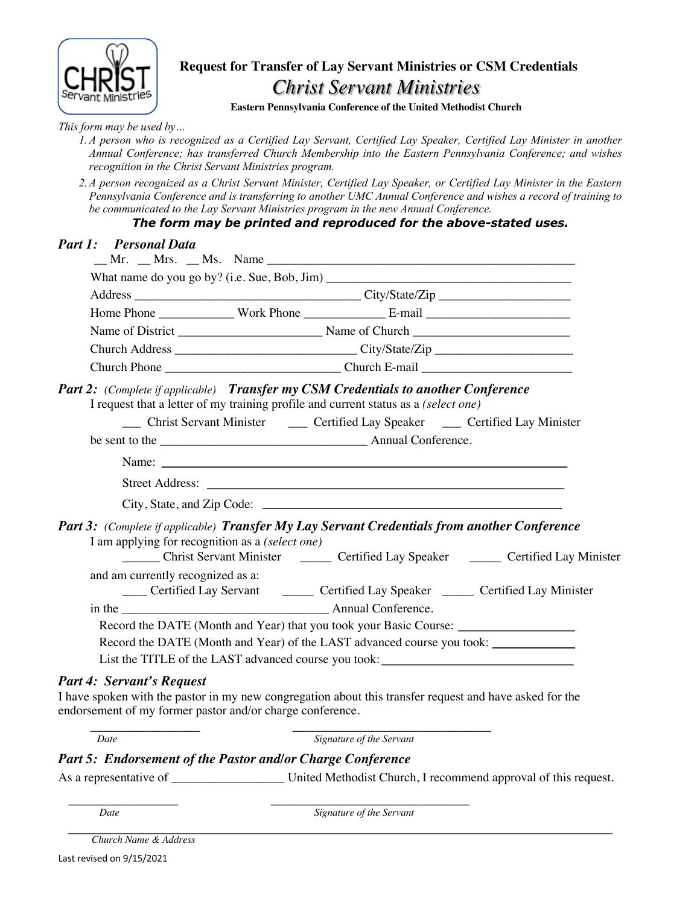

# **Request for Transfer of Lay Servant Ministries or CSM Credentials** *Christ Servant Ministries*

**Eastern Pennsylvania Conference of the United Methodist Church**

*This form may be used by…*

- *1.A person who is recognized as a Certified Lay Servant, Certified Lay Speaker, Certified Lay Minister in another Annual Conference; has transferred Church Membership into the Eastern Pennsylvania Conference; and wishes recognition in the Christ Servant Ministries program.*
- *2.A person recognized as a Christ Servant Minister, Certified Lay Speaker, or Certified Lay Minister in the Eastern Pennsylvania Conference and is transferring to another UMC Annual Conference and wishes a record of training to be communicated to the Lay Servant Ministries program in the new Annual Conference.*

# *The form may be printed and reproduced for the above-stated uses.*

|                                                                                                                                                                                      | What name do you go by? (i.e. Sue, Bob, Jim)<br>Address City/State/Zip |                                                                                     |                                                                                               |
|--------------------------------------------------------------------------------------------------------------------------------------------------------------------------------------|------------------------------------------------------------------------|-------------------------------------------------------------------------------------|-----------------------------------------------------------------------------------------------|
|                                                                                                                                                                                      |                                                                        |                                                                                     |                                                                                               |
|                                                                                                                                                                                      |                                                                        |                                                                                     |                                                                                               |
|                                                                                                                                                                                      |                                                                        |                                                                                     |                                                                                               |
|                                                                                                                                                                                      |                                                                        |                                                                                     |                                                                                               |
| Part 2: (Complete if applicable) Transfer my CSM Credentials to another Conference                                                                                                   |                                                                        | I request that a letter of my training profile and current status as a (select one) |                                                                                               |
|                                                                                                                                                                                      |                                                                        | __ Christ Servant Minister __ Certified Lay Speaker __ Certified Lay Minister       |                                                                                               |
|                                                                                                                                                                                      |                                                                        |                                                                                     |                                                                                               |
|                                                                                                                                                                                      |                                                                        |                                                                                     |                                                                                               |
|                                                                                                                                                                                      |                                                                        |                                                                                     |                                                                                               |
|                                                                                                                                                                                      |                                                                        |                                                                                     |                                                                                               |
| Part 3: (Complete if applicable) Transfer My Lay Servant Credentials from another Conference<br>I am applying for recognition as a (select one)<br>and am currently recognized as a: |                                                                        |                                                                                     | _______ Christ Servant Minister ________ Certified Lay Speaker _______ Certified Lay Minister |
|                                                                                                                                                                                      |                                                                        |                                                                                     | Certified Lay Servant Certified Lay Speaker Certified Lay Minister                            |
|                                                                                                                                                                                      |                                                                        |                                                                                     |                                                                                               |
|                                                                                                                                                                                      |                                                                        | Record the DATE (Month and Year) that you took your Basic Course: _______________   |                                                                                               |
|                                                                                                                                                                                      |                                                                        | Record the DATE (Month and Year) of the LAST advanced course you took:              |                                                                                               |

\_\_\_\_\_\_\_\_\_\_\_\_\_\_\_\_ \_\_\_\_\_\_\_\_\_\_\_\_\_\_\_\_\_\_\_\_\_\_\_\_\_\_\_\_\_ *Date Signature of the Servant*

### *Part 5: Endorsement of the Pastor and/or Charge Conference*

As a representative of \_\_\_\_\_\_\_\_\_\_\_\_\_\_\_\_\_\_\_\_\_\_\_\_\_\_\_\_\_ United Methodist Church, I recommend approval of this request.

 $\overline{\phantom{a}}$  , and the contract of the contract of the contract of the contract of the contract of the contract of the contract of the contract of the contract of the contract of the contract of the contract of the contrac *Date Signature of the Servant*

 *Church Name & Address*